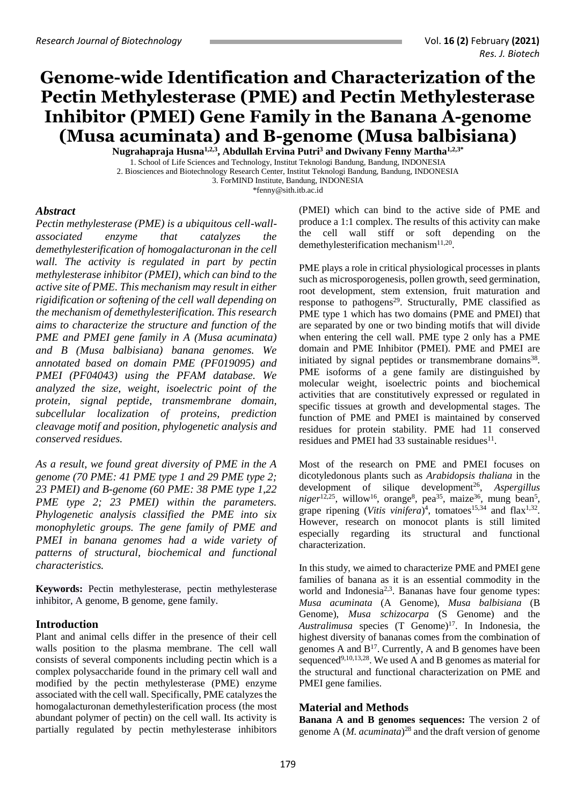# **Genome-wide Identification and Characterization of the Pectin Methylesterase (PME) and Pectin Methylesterase Inhibitor (PMEI) Gene Family in the Banana A-genome (Musa acuminata) and B-genome (Musa balbisiana)**

**Nugrahapraja Husna1,2,3, Abdullah Ervina Putri<sup>3</sup> and Dwivany Fenny Martha1,2,3\*** 1. School of Life Sciences and Technology, Institut Teknologi Bandung, Bandung, INDONESIA

2. Biosciences and Biotechnology Research Center, Institut Teknologi Bandung, Bandung, INDONESIA

\*fenny@sith.itb.ac.id

### *Abstract*

*Pectin methylesterase (PME) is a ubiquitous cell-wallassociated enzyme that catalyzes the demethylesterification of homogalacturonan in the cell wall. The activity is regulated in part by pectin methylesterase inhibitor (PMEI), which can bind to the active site of PME. This mechanism may result in either rigidification or softening of the cell wall depending on the mechanism of demethylesterification. This research aims to characterize the structure and function of the PME and PMEI gene family in A (Musa acuminata) and B (Musa balbisiana) banana genomes. We annotated based on domain PME (PF019095) and PMEI (PF04043) using the PFAM database. We analyzed the size, weight, isoelectric point of the protein, signal peptide, transmembrane domain, subcellular localization of proteins, prediction cleavage motif and position, phylogenetic analysis and conserved residues.* 

*As a result, we found great diversity of PME in the A genome (70 PME: 41 PME type 1 and 29 PME type 2; 23 PMEI) and B-genome (60 PME: 38 PME type 1,22 PME type 2; 23 PMEI) within the parameters. Phylogenetic analysis classified the PME into six monophyletic groups. The gene family of PME and PMEI in banana genomes had a wide variety of patterns of structural, biochemical and functional characteristics.*

**Keywords:** Pectin methylesterase, pectin methylesterase inhibitor, A genome, B genome, gene family.

## **Introduction**

Plant and animal cells differ in the presence of their cell walls position to the plasma membrane. The cell wall consists of several components including pectin which is a complex polysaccharide found in the primary cell wall and modified by the pectin methylesterase (PME) enzyme associated with the cell wall. Specifically, PME catalyzes the homogalacturonan demethylesterification process (the most abundant polymer of pectin) on the cell wall. Its activity is partially regulated by pectin methylesterase inhibitors

(PMEI) which can bind to the active side of PME and produce a 1:1 complex. The results of this activity can make the cell wall stiff or soft depending on the demethylesterification mechanism<sup>11,20</sup>.

PME plays a role in critical physiological processes in plants such as microsporogenesis, pollen growth, seed germination, root development, stem extension, fruit maturation and response to pathogens<sup>29</sup>. Structurally, PME classified as PME type 1 which has two domains (PME and PMEI) that are separated by one or two binding motifs that will divide when entering the cell wall. PME type 2 only has a PME domain and PME Inhibitor (PMEI). PME and PMEI are initiated by signal peptides or transmembrane domains<sup>38</sup>. PME isoforms of a gene family are distinguished by molecular weight, isoelectric points and biochemical activities that are constitutively expressed or regulated in specific tissues at growth and developmental stages. The function of PME and PMEI is maintained by conserved residues for protein stability. PME had 11 conserved residues and PMEI had 33 sustainable residues $^{11}$ .

Most of the research on PME and PMEI focuses on dicotyledonous plants such as *Arabidopsis thaliana* in the development of silique development<sup>26</sup>, Aspergillus  $niger<sup>12,25</sup>$ , willow<sup>16</sup>, orange<sup>8</sup>, pea<sup>35</sup>, maize<sup>36</sup>, mung bean<sup>5</sup>, grape ripening (*Vitis vinifera*)<sup>4</sup>, tomatoes<sup>15,34</sup> and flax<sup>1,32</sup>. However, research on monocot plants is still limited especially regarding its structural and functional characterization.

In this study, we aimed to characterize PME and PMEI gene families of banana as it is an essential commodity in the world and Indonesia<sup>2,3</sup>. Bananas have four genome types: *Musa acuminata* (A Genome), *Musa balbisiana* (B Genome), *Musa schizocarpa* (S Genome) and the Australimusa species (T Genome)<sup>17</sup>. In Indonesia, the highest diversity of bananas comes from the combination of genomes A and B<sup>17</sup>. Currently, A and B genomes have been sequenced<sup>9,10,13,28</sup>. We used A and B genomes as material for the structural and functional characterization on PME and PMEI gene families.

## **Material and Methods**

**Banana A and B genomes sequences:** The version 2 of genome A (*M. acuminata*) <sup>28</sup> and the draft version of genome

<sup>3.</sup> ForMIND Institute, Bandung, INDONESIA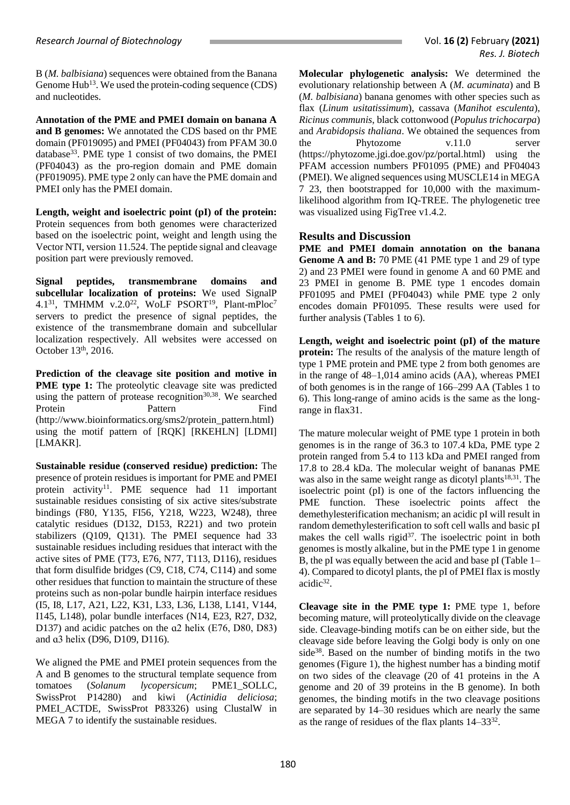B (*M. balbisiana*) sequences were obtained from the Banana Genome Hub<sup>13</sup>. We used the protein-coding sequence (CDS) and nucleotides.

**Annotation of the PME and PMEI domain on banana A and B genomes:** We annotated the CDS based on thr PME domain (PF019095) and PMEI (PF04043) from PFAM 30.0 database<sup>33</sup>. PME type 1 consist of two domains, the PMEI (PF04043) as the pro-region domain and PME domain (PF019095). PME type 2 only can have the PME domain and PMEI only has the PMEI domain.

**Length, weight and isoelectric point (pI) of the protein:**  Protein sequences from both genomes were characterized based on the isoelectric point, weight and length using the Vector NTI, version 11.524. The peptide signal and cleavage position part were previously removed.

**Signal peptides, transmembrane domains and subcellular localization of proteins:** We used SignalP 4.1<sup>31</sup>, TMHMM v.2.0<sup>22</sup>, WoLF PSORT<sup>19</sup>, Plant-mPloc<sup>7</sup> servers to predict the presence of signal peptides, the existence of the transmembrane domain and subcellular localization respectively. All websites were accessed on October 13<sup>th</sup>, 2016.

**Prediction of the cleavage site position and motive in PME type 1:** The proteolytic cleavage site was predicted using the pattern of protease recognition<sup>30,38</sup>. We searched Protein Pattern Find (http://www.bioinformatics.org/sms2/protein\_pattern.html) using the motif pattern of [RQK] [RKEHLN] [LDMI] [LMAKR].

**Sustainable residue (conserved residue) prediction:** The presence of protein residues is important for PME and PMEI protein activity<sup>11</sup>. PME sequence had 11 important sustainable residues consisting of six active sites/substrate bindings (F80, Y135, FI56, Y218, W223, W248), three catalytic residues (D132, D153, R221) and two protein stabilizers (Q109, Q131). The PMEI sequence had 33 sustainable residues including residues that interact with the active sites of PME (T73, E76, N77, T113, D116), residues that form disulfide bridges (C9, C18, C74, C114) and some other residues that function to maintain the structure of these proteins such as non-polar bundle hairpin interface residues (I5, I8, L17, A21, L22, K31, L33, L36, L138, L141, V144, I145, L148), polar bundle interfaces (N14, E23, R27, D32, D137) and acidic patches on the  $a2$  helix (E76, D80, D83) and ɑ3 helix (D96, D109, D116).

We aligned the PME and PMEI protein sequences from the A and B genomes to the structural template sequence from tomatoes (*Solanum lycopersicum*; PME1\_SOLLC, SwissProt P14280) and kiwi (*Actinidia deliciosa*; PMEI ACTDE, SwissProt P83326) using ClustalW in MEGA 7 to identify the sustainable residues.

**Molecular phylogenetic analysis:** We determined the evolutionary relationship between A (*M. acuminata*) and B (*M. balbisiana*) banana genomes with other species such as flax (*Linum usitatissimum*), cassava (*Manihot esculenta*), *Ricinus communis*, black cottonwood (*Populus trichocarpa*) and *Arabidopsis thaliana*. We obtained the sequences from the Phytozome v.11.0 server (https://phytozome.jgi.doe.gov/pz/portal.html) using the PFAM accession numbers PF01095 (PME) and PF04043 (PMEI). We aligned sequences using MUSCLE14 in MEGA 7 23, then bootstrapped for 10,000 with the maximumlikelihood algorithm from IQ-TREE. The phylogenetic tree was visualized using FigTree v1.4.2.

## **Results and Discussion**

**PME and PMEI domain annotation on the banana Genome A and B:** 70 PME (41 PME type 1 and 29 of type 2) and 23 PMEI were found in genome A and 60 PME and 23 PMEI in genome B. PME type 1 encodes domain PF01095 and PMEI (PF04043) while PME type 2 only encodes domain PF01095. These results were used for further analysis (Tables 1 to 6).

**Length, weight and isoelectric point (pI) of the mature protein:** The results of the analysis of the mature length of type 1 PME protein and PME type 2 from both genomes are in the range of 48–1,014 amino acids (AA), whereas PMEI of both genomes is in the range of 166–299 AA (Tables 1 to 6). This long-range of amino acids is the same as the longrange in flax31.

The mature molecular weight of PME type 1 protein in both genomes is in the range of 36.3 to 107.4 kDa, PME type 2 protein ranged from 5.4 to 113 kDa and PMEI ranged from 17.8 to 28.4 kDa. The molecular weight of bananas PME was also in the same weight range as dicotyl plants<sup>18,31</sup>. The isoelectric point (pI) is one of the factors influencing the PME function. These isoelectric points affect the demethylesterification mechanism; an acidic pI will result in random demethylesterification to soft cell walls and basic pI makes the cell walls rigid<sup>37</sup>. The isoelectric point in both genomes is mostly alkaline, but in the PME type 1 in genome B, the pI was equally between the acid and base pI (Table 1– 4). Compared to dicotyl plants, the pI of PMEI flax is mostly acidic<sup>32</sup>.

**Cleavage site in the PME type 1:** PME type 1, before becoming mature, will proteolytically divide on the cleavage side. Cleavage-binding motifs can be on either side, but the cleavage side before leaving the Golgi body is only on one side<sup>38</sup>. Based on the number of binding motifs in the two genomes (Figure 1), the highest number has a binding motif on two sides of the cleavage (20 of 41 proteins in the A genome and 20 of 39 proteins in the B genome). In both genomes, the binding motifs in the two cleavage positions are separated by 14–30 residues which are nearly the same as the range of residues of the flax plants  $14-33^{32}$ .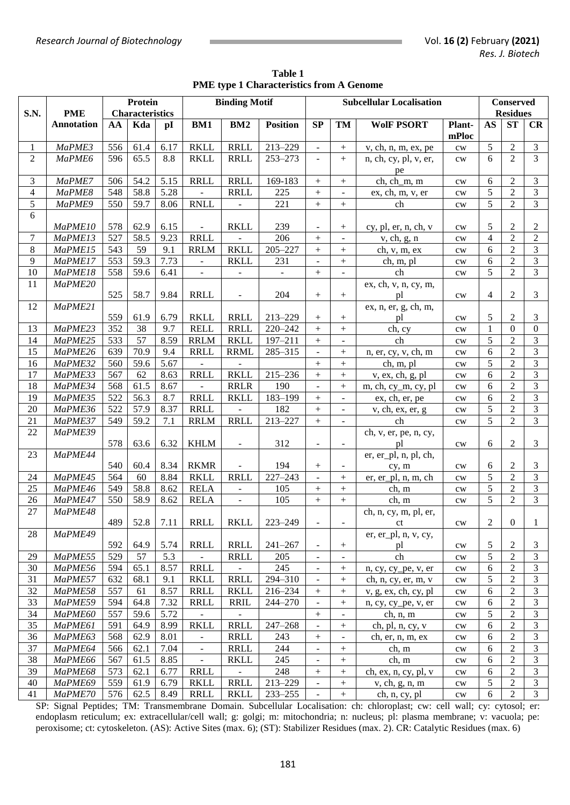|                |                   |     | <b>Protein</b>         |           | <b>Binding Motif</b> |                          |                 |                          |                          |                                 | <b>Conserved</b> |                |                  |                         |
|----------------|-------------------|-----|------------------------|-----------|----------------------|--------------------------|-----------------|--------------------------|--------------------------|---------------------------------|------------------|----------------|------------------|-------------------------|
| S.N.           | <b>PME</b>        |     | <b>Characteristics</b> |           |                      |                          |                 |                          |                          | <b>Subcellular Localisation</b> |                  |                | <b>Residues</b>  |                         |
|                | <b>Annotation</b> | AA  | Kda                    | pI        | BM1                  | BM <sub>2</sub>          | <b>Position</b> | SP                       | TM                       | <b>WolF PSORT</b>               | Plant-<br>mPloc  | <b>AS</b>      | <b>ST</b>        | CR                      |
| 1              | MaPME3            | 556 | 61.4                   | 6.17      | <b>RKLL</b>          | <b>RRLL</b>              | 213-229         | $\mathbf{r}$             | $\! + \!$                | v, ch, n, m, ex, pe             | $\mathrm{cw}$    | 5              | $\overline{2}$   | $\mathfrak{Z}$          |
| $\overline{2}$ | MaPME6            | 596 | 65.5                   | 8.8       | <b>RKLL</b>          | <b>RRLL</b>              | 253-273         | $\mathbb{L}$             | $+$                      | n, ch, cy, pl, v, er,<br>pe     | cw               | 6              | $\overline{2}$   | $\overline{3}$          |
| 3              | MaPME7            | 506 | 54.2                   | 5.15      | <b>RRLL</b>          | <b>RRLL</b>              | 169-183         | $+$                      | $^{+}$                   | ch, ch_m, m                     | $\mathrm{cw}$    | 6              | $\overline{2}$   | $\mathfrak{Z}$          |
| $\overline{4}$ | MaPME8            | 548 | 58.8                   | 5.28      |                      | <b>RRLL</b>              | 225             | $\boldsymbol{+}$         | $\blacksquare$           | ex, ch, m, v, er                | $\mathrm{cw}$    | 5              | $\overline{2}$   | $\mathfrak{Z}$          |
| 5              | MaPME9            | 550 | 59.7                   | 8.06      | <b>RNLL</b>          | $\bar{\phantom{a}}$      | 221             | $\boldsymbol{+}$         | $\boldsymbol{+}$         | ch                              | $\mathrm{cw}$    | 5              | $\overline{2}$   | $\overline{3}$          |
| 6              | MaPME10           | 578 | 62.9                   | 6.15      | $\blacksquare$       | <b>RKLL</b>              | 239             | $\blacksquare$           | $^{+}$                   | cy, pl, er, n, ch, v            | cw               | 5              | 2                | $\boldsymbol{2}$        |
| 7              | MaPME13           | 527 | 58.5                   | 9.23      | <b>RRLL</b>          |                          | 206             |                          | $\blacksquare$           | v, ch, g, n                     | cw               | $\overline{4}$ | $\overline{2}$   | $\sqrt{2}$              |
| $\,8$          | MaPME15           | 543 | 59                     | 9.1       | <b>RRLM</b>          | <b>RKLL</b>              | $205 - 227$     |                          | $+$                      | ch, v, m, ex                    | $\mathrm{cw}$    | 6              | $\overline{2}$   | $\mathfrak{Z}$          |
| 9              | MaPME17           | 553 | 59.3                   | 7.73      | $\blacksquare$       | <b>RKLL</b>              | 231             | $\blacksquare$           | $^{+}$                   | ch, m, pl                       | cw               | 6              | $\overline{2}$   | $\mathfrak{Z}$          |
| 10             | MaPME18           | 558 | 59.6                   | 6.41      | $\blacksquare$       | $\blacksquare$           | $\blacksquare$  | $\boldsymbol{+}$         | $\blacksquare$           | ch                              | cw               | 5              | $\overline{2}$   | $\overline{3}$          |
| 11             | MaPME20           | 525 | 58.7                   | 9.84      | <b>RRLL</b>          | $\blacksquare$           | 204             | $^{+}$                   | $+$                      | ex, ch, v, n, cy, m,<br>pl      | $\mathrm{cw}$    | $\overline{4}$ | $\overline{c}$   | 3                       |
| 12             | MaPME21           | 559 | 61.9                   | 6.79      | <b>RKLL</b>          | <b>RRLL</b>              | 213-229         | $^{+}$                   | $^{+}$                   | ex, n, er, g, ch, m,<br>pl      | $\mathrm{cw}$    | 5              | 2                | 3                       |
| 13             | MaPME23           | 352 | 38                     | 9.7       | <b>RELL</b>          | <b>RRLL</b>              | 220-242         | $^{+}$                   | $\boldsymbol{+}$         | ch, cy                          | $\mathrm{cw}$    | $\mathbf 1$    | $\theta$         | $\mathbf{0}$            |
| 14             | MaPME25           | 533 | 57                     | 8.59      | <b>RRLM</b>          | <b>RKLL</b>              | 197-211         | $\boldsymbol{+}$         | $\blacksquare$           | ch                              | $\mathrm{cw}$    | 5              | $\overline{2}$   | $\overline{3}$          |
| 15             | MaPME26           | 639 | 70.9                   | 9.4       | <b>RRLL</b>          | <b>RRML</b>              | 285-315         | $\blacksquare$           | $+$                      | n, er, cy, v, ch, m             | $\mathrm{cw}$    | 6              | $\overline{2}$   | $\overline{3}$          |
| 16             | MaPME32           | 560 | 59.6                   | 5.67      |                      |                          |                 | $\boldsymbol{+}$         | $\boldsymbol{+}$         | ch, m, pl                       | $\mathrm{cw}$    | 5              | $\overline{2}$   | $\overline{\mathbf{3}}$ |
| 17             | MaPME33           | 567 | 62                     | 8.63      | <b>RRLL</b>          | <b>RKLL</b>              | 215-236         | $\! + \!$                | $\boldsymbol{+}$         | v, ex, ch, g, pl                | cw               | 6              | $\overline{2}$   | $\overline{\mathbf{3}}$ |
| 18             | MaPME34           | 568 | 61.5                   | 8.67      |                      | <b>RRLR</b>              | 190             | $\bar{\phantom{a}}$      | $^{+}$                   | m, ch, cy_m, cy, pl             | cw               | 6              | $\overline{2}$   | $\overline{\mathbf{3}}$ |
| 19             | MaPME35           | 522 | 56.3                   | 8.7       | <b>RRLL</b>          | <b>RKLL</b>              | 183-199         | $\boldsymbol{+}$         | $\blacksquare$           | ex, ch, er, pe                  | $\mathrm{cw}$    | 6              | $\overline{2}$   | $\overline{3}$          |
| 20             | MaPME36           | 522 | 57.9                   | 8.37      | <b>RRLL</b>          |                          | 182             | $\! + \!$                | $\blacksquare$           | v, ch, ex, er, g                | $\mathrm{cw}$    | 5              | $\overline{2}$   | $\overline{3}$          |
| 21             | MaPME37           | 549 | 59.2                   | 7.1       | <b>RRLM</b>          | <b>RRLL</b>              | 213-227         | $\boldsymbol{+}$         | $\blacksquare$           | ch                              | $\mathrm{cw}$    | 5              | $\overline{2}$   | $\overline{3}$          |
| 22             | MaPME39           |     |                        |           |                      |                          |                 |                          |                          | ch, v, er, pe, n, cy,           |                  |                |                  |                         |
| 23             | MaPME44           | 578 | 63.6                   | 6.32      | <b>KHLM</b>          | $\blacksquare$           | 312             | $\blacksquare$           | $\overline{\phantom{a}}$ | pl                              | $\mathrm{cw}$    | 6              | $\overline{c}$   | 3                       |
|                |                   | 540 | 60.4                   | 8.34      | <b>RKMR</b>          |                          | 194             | $\boldsymbol{+}$         | $\overline{\phantom{a}}$ | er, er_pl, n, pl, ch,<br>cy, m  | $\mathrm{cw}$    | 6              | $\overline{c}$   | $\mathfrak{Z}$          |
| 24             | MaPME45           | 564 | 60                     | 8.84      | <b>RKLL</b>          | <b>RRLL</b>              | $227 - 243$     | $\bar{\phantom{a}}$      | $+$                      | er, er_pl, n, m, ch             | $\mathrm{cw}$    | 5              | $\overline{2}$   | $\mathfrak{Z}$          |
| 25             | MaPME46           | 549 | 58.8                   | 8.62      | <b>RELA</b>          | $\equiv$                 | 105             | $\boldsymbol{+}$         | $\! + \!$                | ch, m                           | $\mathrm{cw}$    | $\sqrt{5}$     | $\overline{2}$   | $\overline{3}$          |
| 26             | MaPME47           | 550 | 58.9                   | 8.62      | <b>RELA</b>          | $\overline{a}$           | 105             | $\boldsymbol{+}$         | $\boldsymbol{+}$         | ch, m                           | $\mathrm{cw}$    | 5              | $\overline{2}$   | $\mathfrak{Z}$          |
| 27             | MaPME48           | 489 |                        | 52.8 7.11 | <b>RRLL</b>          | <b>RKLL</b>              | $223 - 249$     | $\blacksquare$           | $\overline{\phantom{a}}$ | ch, n, cy, m, pl, er,<br>ct     | cw               | $\mathbf{2}$   | $\boldsymbol{0}$ | $\mathbf{1}$            |
| 28             | MaPME49           | 592 | 64.9                   | 5.74      | <b>RRLL</b>          | <b>RRLL</b>              | $241 - 267$     | $\blacksquare$           | $\boldsymbol{+}$         | $er, er\_pl, n, v, cy,$<br>pl   | $\mathrm{cw}$    | 5              | 2                | 3                       |
| 29             | MaPME55           | 529 | 57                     | 5.3       |                      | <b>RRLL</b>              | 205             | $\blacksquare$           |                          | ch                              | $\mathrm{cw}$    | 5              | $\overline{2}$   | $\overline{3}$          |
| 30             | MaPME56           | 594 | 65.1                   | 8.57      | <b>RRLL</b>          | $\overline{\phantom{a}}$ | 245             | $\blacksquare$           | $+$                      | n, cy, cy_pe, v, er             | $\mathrm{cw}$    | 6              | $\overline{2}$   | $\overline{3}$          |
| 31             | MaPME57           | 632 | 68.1                   | 9.1       | <b>RKLL</b>          | <b>RRLL</b>              | 294-310         | $\blacksquare$           | $\boldsymbol{+}$         | ch, n, cy, er, m, v             | $\mathrm{cw}$    | 5              | $\mathfrak{2}$   | $\overline{3}$          |
| 32             | MaPME58           | 557 | 61                     | 8.57      | <b>RRLL</b>          | <b>RKLL</b>              | 216-234         | $\boldsymbol{+}$         | $\boldsymbol{+}$         | v, g, ex, ch, cy, pl            | $\mathrm{cw}$    | 6              | $\mathfrak{2}$   | $\overline{3}$          |
| 33             | MaPME59           | 594 | 64.8                   | 7.32      | <b>RRLL</b>          | <b>RRIL</b>              | 244-270         | $\overline{\phantom{a}}$ | $\! + \!$                | n, cy, cy_pe, v, er             | $\mathrm{cw}$    | 6              | $\overline{2}$   | $\mathfrak{Z}$          |
| 34             | MaPME60           | 557 | 59.6                   | 5.72      |                      | $\blacksquare$           |                 |                          |                          | ch, n, m                        | $\mathrm{cw}$    | 5              | $\overline{2}$   | $\mathfrak{Z}$          |
| 35             | MaPME61           | 591 | 64.9                   | 8.99      | <b>RKLL</b>          | <b>RRLL</b>              | $247 - 268$     | $\overline{\phantom{a}}$ | $+$                      | ch, pl, n, cy, v                | $\mathrm{cw}$    | 6              | $\overline{2}$   | $\mathfrak{Z}$          |
| 36             | MaPME63           | 568 | 62.9                   | 8.01      | $\blacksquare$       | <b>RRLL</b>              | 243             | $\boldsymbol{+}$         |                          | ch, er, n, m, ex                | $\mathrm{cw}$    | 6              | $\overline{2}$   | $\overline{3}$          |
| 37             | MaPME64           | 566 | 62.1                   | 7.04      | $\equiv$             | <b>RRLL</b>              | 244             | $\mathbb{L}$             | $\boldsymbol{+}$         | ch, m                           | $\mathrm{cw}$    | 6              | 2                | $\overline{3}$          |
| 38             | MaPME66           | 567 | 61.5                   | 8.85      | $\blacksquare$       | <b>RKLL</b>              | 245             | $\blacksquare$           | $\! + \!$                | ch, m                           | $\mathrm{cw}$    | 6              | $\overline{2}$   | $\overline{3}$          |
| 39             | MaPME68           | 573 | 62.1                   | 6.77      | <b>RRLL</b>          | $\overline{\phantom{a}}$ | 248             | $\boldsymbol{+}$         | $\boldsymbol{+}$         | ch, ex, n, cy, pl, v            | $\mathrm{cw}$    | 6              | $\overline{2}$   | $\mathfrak{Z}$          |
| 40             | MaPME69           | 559 | 61.9                   | 6.79      | <b>RKLL</b>          | <b>RRLL</b>              | 213-229         | $\blacksquare$           | $\boldsymbol{+}$         | v, ch, g, n, m                  | $\mathrm{cw}$    | 5              | $\overline{2}$   | $\overline{3}$          |
| 41             | MaPME70           | 576 | 62.5                   | 8.49      | <b>RRLL</b>          | <b>RKLL</b>              | $233 - 255$     | $\blacksquare$           | $\boldsymbol{+}$         | ch, n, cy, pl                   | $\mathrm{cw}$    | 6              | $\overline{2}$   | $\overline{3}$          |

**Table 1 PME type 1 Characteristics from A Genome**

SP: Signal Peptides; TM: Transmembrane Domain. Subcellular Localisation: ch: chloroplast; cw: cell wall; cy: cytosol; er: endoplasm reticulum; ex: extracellular/cell wall; g: golgi; m: mitochondria; n: nucleus; pl: plasma membrane; v: vacuola; pe: peroxisome; ct: cytoskeleton. (AS): Active Sites (max. 6); (ST): Stabilizer Residues (max. 2). CR: Catalytic Residues (max. 6)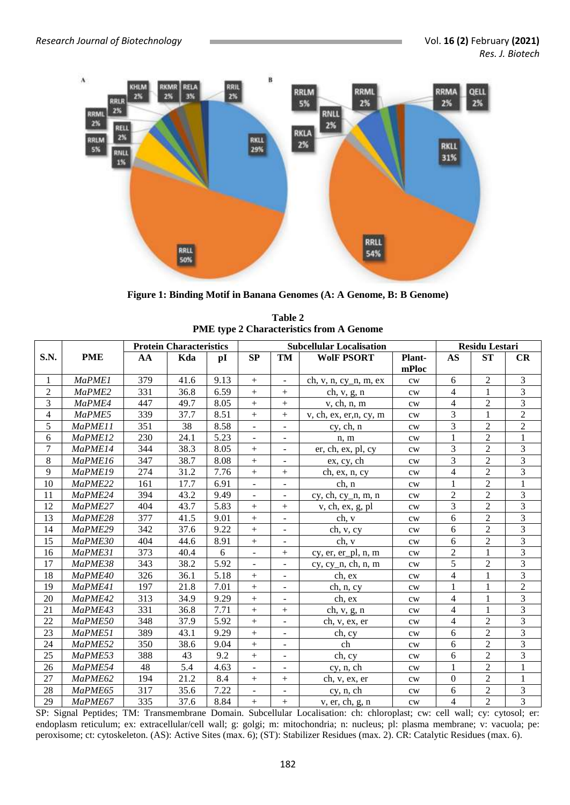

**Figure 1: Binding Motif in Banana Genomes (A: A Genome, B: B Genome)**

|                |               | <b>Protein Characteristics</b> |      |      |                  | <b>Subcellular Localisation</b> | <b>Residu Lestari</b>   |                 |                          |                |                         |
|----------------|---------------|--------------------------------|------|------|------------------|---------------------------------|-------------------------|-----------------|--------------------------|----------------|-------------------------|
| S.N.           | <b>PME</b>    | AA                             | Kda  | pI   | SP               | <b>TM</b>                       | <b>WolF PSORT</b>       | Plant-<br>mPloc | <b>AS</b>                | ST             | CR                      |
| 1              | <b>MaPME1</b> | 379                            | 41.6 | 9.13 | $\, +$           | $\overline{\phantom{m}}$        | ch, v, n, cy_n, m, ex   | cw              | 6                        | $\sqrt{2}$     | 3                       |
| $\overline{c}$ | MaPME2        | 331                            | 36.8 | 6.59 | $\boldsymbol{+}$ | $+$                             | ch, $v, g, n$           | $\mathrm{cw}$   | $\overline{4}$           | $\mathbf{1}$   | 3                       |
| 3              | MaPME4        | 447                            | 49.7 | 8.05 | $^{+}$           | $+$                             | v, ch, n, m             | $\mathrm{cw}$   | $\overline{4}$           | $\sqrt{2}$     | $\overline{3}$          |
| 4              | MaPME5        | 339                            | 37.7 | 8.51 | $\boldsymbol{+}$ | $+$                             | v, ch, ex, er, n, cy, m | cw              | 3                        | 1              | $\overline{2}$          |
| 5              | MaPME11       | 351                            | 38   | 8.58 |                  |                                 | cy, ch, n               | $\mathrm{cw}$   | 3                        | $\overline{2}$ | $\overline{c}$          |
| 6              | MaPME12       | 230                            | 24.1 | 5.23 | $\blacksquare$   | $\overline{\phantom{a}}$        | n, m                    | cw              | $\mathbf 1$              | $\overline{2}$ | $\mathbf{1}$            |
| 7              | MaPME14       | 344                            | 38.3 | 8.05 | $\boldsymbol{+}$ | $\overline{\phantom{a}}$        | er, ch, ex, pl, cy      | cw              | 3                        | $\sqrt{2}$     | 3                       |
| 8              | MaPME16       | 347                            | 38.7 | 8.08 |                  |                                 | ex, cy, ch              | cw              | 3                        | $\overline{2}$ | $\overline{3}$          |
| 9              | MaPME19       | 274                            | 31.2 | 7.76 | $\ddot{}$        | $+$                             | ch, ex, n, cy           | cw              | $\overline{4}$           | $\overline{2}$ | 3                       |
| 10             | MaPME22       | 161                            | 17.7 | 6.91 | $\blacksquare$   | $\overline{\phantom{a}}$        | ch, n                   | cw              | 1                        | $\overline{2}$ | 1                       |
| 11             | MaPME24       | 394                            | 43.2 | 9.49 | $\frac{1}{2}$    | $\blacksquare$                  | $cy, ch, cy_n, m, n$    | $\mathrm{cw}$   | $\overline{c}$           | $\overline{2}$ | 3                       |
| 12             | MaPME27       | 404                            | 43.7 | 5.83 | $^{+}$           | $+$                             | v, ch, ex, g, pl        | cw              | 3                        | $\overline{2}$ | 3                       |
| 13             | MaPME28       | 377                            | 41.5 | 9.01 | $\! +$           | $\overline{\phantom{a}}$        | ch, v                   | cw              | 6                        | $\overline{2}$ | $\overline{3}$          |
| 14             | MaPME29       | 342                            | 37.6 | 9.22 |                  | $\overline{\phantom{0}}$        | ch, v, cy               | cw              | 6                        | $\overline{2}$ | $\overline{3}$          |
| 15             | MaPME30       | 404                            | 44.6 | 8.91 | $\ddot{}$        |                                 | ch, v                   | cw              | 6                        | $\sqrt{2}$     | 3                       |
| 16             | MaPME31       | 373                            | 40.4 | 6    | $\blacksquare$   | $+$                             | cy, er, er_pl, n, m     | $\mathrm{cw}$   | 2                        | 1              | $\overline{3}$          |
| 17             | MaPME38       | 343                            | 38.2 | 5.92 | $\frac{1}{2}$    | $\overline{a}$                  | $cy, cy_n, ch, n, m$    | cw              | 5                        | $\overline{2}$ | $\overline{3}$          |
| 18             | MaPME40       | 326                            | 36.1 | 5.18 | $\boldsymbol{+}$ | $\overline{\phantom{a}}$        | ch, ex                  | cw              | $\overline{\mathcal{L}}$ | 1              | 3                       |
| 19             | MaPME41       | 197                            | 21.8 | 7.01 | $\boldsymbol{+}$ | $\overline{\phantom{a}}$        | ch, n, cy               | $\mathrm{cw}$   | 1                        | 1              | $\overline{2}$          |
| 20             | MaPME42       | 313                            | 34.9 | 9.29 | $+$              |                                 | ch, ex                  | cw              | $\overline{4}$           | 1              | $\overline{\mathbf{3}}$ |
| 21             | MaPME43       | 331                            | 36.8 | 7.71 | $\boldsymbol{+}$ | $+$                             | ch, $v$ , $g$ , $n$     | cw              | $\overline{4}$           | $\mathbf{1}$   | 3                       |
| 22             | MaPME50       | 348                            | 37.9 | 5.92 | $\pm$            | $\overline{\phantom{a}}$        | ch, v, ex, er           | $\mathrm{cw}$   | $\overline{4}$           | $\sqrt{2}$     | $\overline{\mathbf{3}}$ |
| 23             | MaPME51       | 389                            | 43.1 | 9.29 | $\pm$            |                                 | ch, cy                  | cw              | 6                        | $\overline{2}$ | 3                       |
| 24             | MaPME52       | 350                            | 38.6 | 9.04 | $+$              | $\frac{1}{2}$                   | ch                      | cw              | 6                        | $\overline{2}$ | 3                       |
| 25             | MaPME53       | 388                            | 43   | 9.2  | $\boldsymbol{+}$ | $\overline{\phantom{a}}$        | ch, cy                  | $\mathrm{cw}$   | 6                        | $\overline{2}$ | $\overline{\mathbf{3}}$ |
| 26             | MaPME54       | 48                             | 5.4  | 4.63 | $\overline{a}$   |                                 | cy, n, ch               | cw              | $\mathbf{1}$             | $\overline{2}$ | 1                       |
| 27             | MaPME62       | 194                            | 21.2 | 8.4  | $\boldsymbol{+}$ | $+$                             | ch, v, ex, er           | cw              | $\mathbf{0}$             | $\overline{2}$ | $\mathbf{1}$            |
| 28             | MaPME65       | 317                            | 35.6 | 7.22 |                  |                                 | cy, n, ch               | $\mathrm{cw}$   | 6                        | $\overline{2}$ | 3                       |
| 29             | MaPME67       | 335                            | 37.6 | 8.84 | $+$              | $+$                             | v, er, ch, g, n         | cw              | $\overline{4}$           | $\overline{2}$ | $\overline{3}$          |

| Table 2                                         |
|-------------------------------------------------|
| <b>PME</b> type 2 Characteristics from A Genome |

SP: Signal Peptides; TM: Transmembrane Domain. Subcellular Localisation: ch: chloroplast; cw: cell wall; cy: cytosol; er: endoplasm reticulum; ex: extracellular/cell wall; g: golgi; m: mitochondria; n: nucleus; pl: plasma membrane; v: vacuola; pe: peroxisome; ct: cytoskeleton. (AS): Active Sites (max. 6); (ST): Stabilizer Residues (max. 2). CR: Catalytic Residues (max. 6).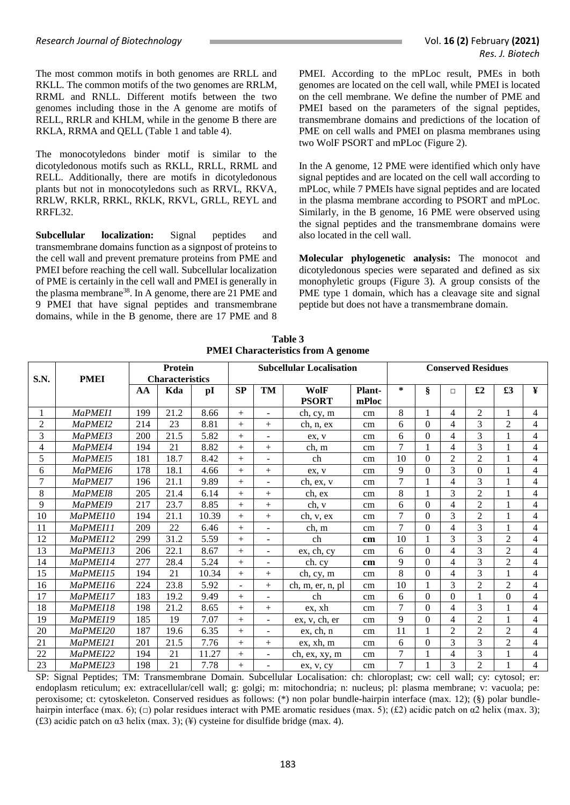The most common motifs in both genomes are RRLL and RKLL. The common motifs of the two genomes are RRLM, RRML and RNLL. Different motifs between the two genomes including those in the A genome are motifs of RELL, RRLR and KHLM, while in the genome B there are RKLA, RRMA and QELL (Table 1 and table 4).

The monocotyledons binder motif is similar to the dicotyledonous motifs such as RKLL, RRLL, RRML and RELL. Additionally, there are motifs in dicotyledonous plants but not in monocotyledons such as RRVL, RKVA, RRLW, RKLR, RRKL, RKLK, RKVL, GRLL, REYL and RRFL32.

**Subcellular localization:** Signal peptides and transmembrane domains function as a signpost of proteins to the cell wall and prevent premature proteins from PME and PMEI before reaching the cell wall. Subcellular localization of PME is certainly in the cell wall and PMEI is generally in the plasma membrane<sup>38</sup>. In A genome, there are 21 PME and 9 PMEI that have signal peptides and transmembrane domains, while in the B genome, there are 17 PME and 8 PMEI. According to the mPLoc result, PMEs in both genomes are located on the cell wall, while PMEI is located on the cell membrane. We define the number of PME and PMEI based on the parameters of the signal peptides, transmembrane domains and predictions of the location of PME on cell walls and PMEI on plasma membranes using two WolF PSORT and mPLoc (Figure 2).

In the A genome, 12 PME were identified which only have signal peptides and are located on the cell wall according to mPLoc, while 7 PMEIs have signal peptides and are located in the plasma membrane according to PSORT and mPLoc. Similarly, in the B genome, 16 PME were observed using the signal peptides and the transmembrane domains were also located in the cell wall.

**Molecular phylogenetic analysis:** The monocot and dicotyledonous species were separated and defined as six monophyletic groups (Figure 3). A group consists of the PME type 1 domain, which has a cleavage site and signal peptide but does not have a transmembrane domain.

| S.N.           | Protein<br><b>PMEI</b><br><b>Characteristics</b> |     |      |       |           |        | <b>Subcellular Localisation</b> | <b>Conserved Residues</b> |                |          |                          |                |                |                |  |
|----------------|--------------------------------------------------|-----|------|-------|-----------|--------|---------------------------------|---------------------------|----------------|----------|--------------------------|----------------|----------------|----------------|--|
|                |                                                  | AA  | Kda  | pI    | <b>SP</b> | TM     | WolF<br><b>PSORT</b>            | Plant-<br>mPloc           | $\ast$         | ş        | $\Box$                   | £2             | £3             | ¥              |  |
|                | MaPMEI1                                          | 199 | 21.2 | 8.66  | $+$       |        | ch, cy, m                       | cm                        | 8              | 1        | 4                        | $\overline{c}$ | 1              | $\overline{4}$ |  |
| $\overline{2}$ | MaPMEI2                                          | 214 | 23   | 8.81  | $+$       | $+$    | ch, n, ex                       | cm                        | 6              | $\Omega$ | 4                        | 3              | $\mathfrak{D}$ | 4              |  |
| 3              | MaPMEI3                                          | 200 | 21.5 | 5.82  | $+$       |        | ex, v                           | cm                        | 6              | $\theta$ | 4                        | 3              |                | 4              |  |
| 4              | MaPMEI4                                          | 194 | 21   | 8.82  | $+$       | $+$    | ch, m                           | cm                        | $\overline{7}$ |          | 4                        | 3              |                | 4              |  |
| 5              | MaPMEI5                                          | 181 | 18.7 | 8.42  | $^{+}$    |        | ch                              | cm                        | 10             | $\theta$ | $\overline{2}$           | $\overline{2}$ |                | 4              |  |
| 6              | MaPMEI6                                          | 178 | 18.1 | 4.66  | $+$       | $+$    | ex. v                           | cm                        | 9              | $\Omega$ | 3                        | $\Omega$       | $\mathbf{1}$   | $\overline{4}$ |  |
| 7              | MaPMEI7                                          | 196 | 21.1 | 9.89  | $+$       |        | ch, ex, v                       | cm                        | $\tau$         |          | 4                        | 3              |                | 4              |  |
| 8              | MaPMEI8                                          | 205 | 21.4 | 6.14  | $+$       | $^{+}$ | ch, ex                          | cm                        | 8              |          | 3                        | $\overline{2}$ |                | 4              |  |
| 9              | MaPMEI9                                          | 217 | 23.7 | 8.85  | $^{+}$    | $+$    | ch, v                           | cm                        | 6              | $\theta$ | 4                        | $\overline{2}$ |                | 4              |  |
| 10             | MaPMEI10                                         | 194 | 21.1 | 10.39 | $^{+}$    | $^{+}$ | ch, v, ex                       | cm                        | $\overline{7}$ | $\theta$ | 3                        | $\overline{2}$ |                | $\overline{4}$ |  |
| 11             | MaPMEI11                                         | 209 | 22   | 6.46  | $+$       |        | ch, m                           | cm                        | $\tau$         | $\Omega$ | 4                        | 3              | 1              | 4              |  |
| 12             | MaPMEI12                                         | 299 | 31.2 | 5.59  | $^{+}$    |        | ch                              | cm                        | 10             |          | 3                        | 3              | $\overline{c}$ | 4              |  |
| 13             | MaPMEI13                                         | 206 | 22.1 | 8.67  | $+$       |        | ex, ch, cy                      | cm                        | 6              | $\Omega$ | 4                        | 3              | $\overline{2}$ | 4              |  |
| 14             | MaPMEI14                                         | 277 | 28.4 | 5.24  | $+$       |        | ch. cv                          | cm                        | 9              | $\theta$ | 4                        | 3              | $\overline{2}$ | 4              |  |
| 15             | MaPMEI15                                         | 194 | 21   | 10.34 | $+$       | $+$    | ch, cy, m                       | cm                        | 8              | $\Omega$ | 4                        | 3              | 1              | 4              |  |
| 16             | MaPME116                                         | 224 | 23.8 | 5.92  |           | $^{+}$ | ch, m, er, n, pl                | cm                        | 10             |          | 3                        | $\overline{2}$ | 2              | 4              |  |
| 17             | MaPMEI17                                         | 183 | 19.2 | 9.49  | $+$       |        | ch                              | cm                        | 6              | $\Omega$ | $\theta$                 |                | $\theta$       | 4              |  |
| 18             | MaPMEI18                                         | 198 | 21.2 | 8.65  | $^{+}$    | $^{+}$ | ex, xh                          | cm                        | $\overline{7}$ | $\theta$ | $\overline{\mathcal{L}}$ | 3              |                | 4              |  |
| 19             | MaPMEI19                                         | 185 | 19   | 7.07  | $+$       |        | ex, v, ch, er                   | cm                        | 9              | $\Omega$ | 4                        | $\mathfrak{D}$ | 1              | 4              |  |
| 20             | MaPMEI20                                         | 187 | 19.6 | 6.35  | $^{+}$    |        | ex, ch, n                       | cm                        | 11             |          | $\overline{2}$           | $\overline{2}$ | $\overline{c}$ | 4              |  |
| 21             | MaPMEI21                                         | 201 | 21.5 | 7.76  | $+$       | $+$    | ex, xh, m                       | cm                        | 6              | $\Omega$ | 3                        | 3              | $\overline{2}$ | 4              |  |
| 22             | MaPMEI22                                         | 194 | 21   | 11.27 | $+$       |        | ch, ex, xy, m                   | cm                        | $\overline{7}$ |          | 4                        | 3              |                | $\overline{4}$ |  |
| 23             | MaPMEI23                                         | 198 | 21   | 7.78  | $+$       |        | ex, v, cy                       | cm                        | 7              |          | 3                        | $\overline{c}$ |                | 4              |  |

**Table 3 PMEI Characteristics from A genome**

SP: Signal Peptides; TM: Transmembrane Domain. Subcellular Localisation: ch: chloroplast; cw: cell wall; cy: cytosol; er: endoplasm reticulum; ex: extracellular/cell wall; g: golgi; m: mitochondria; n: nucleus; pl: plasma membrane; v: vacuola; pe: peroxisome; ct: cytoskeleton. Conserved residues as follows: (\*) non polar bundle-hairpin interface (max. 12); (§) polar bundlehairpin interface (max. 6); ( $\Box$ ) polar residues interact with PME aromatic residues (max. 5); (£2) acidic patch on  $\alpha$ 2 helix (max. 3); (£3) acidic patch on α3 helix (max. 3); (¥) cysteine for disulfide bridge (max. 4).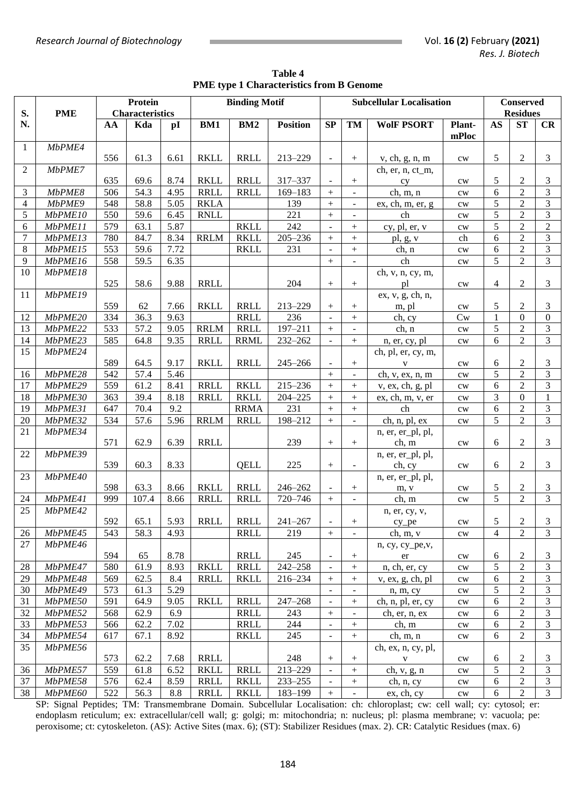| Table 4                                         |
|-------------------------------------------------|
| <b>PME</b> type 1 Characteristics from B Genome |

|              |            | Protein |                        |      |             | <b>Binding Motif</b> |                 |                          |                          | <b>Subcellular Localisation</b> |               |           | <b>Conserved</b><br><b>Residues</b><br><b>ST</b> |                |  |  |
|--------------|------------|---------|------------------------|------|-------------|----------------------|-----------------|--------------------------|--------------------------|---------------------------------|---------------|-----------|--------------------------------------------------|----------------|--|--|
| S.           | <b>PME</b> |         | <b>Characteristics</b> |      |             |                      |                 |                          |                          |                                 |               |           |                                                  |                |  |  |
| N.           |            | AA      | Kda                    | pI   | BM1         | BM2                  | <b>Position</b> | SP                       | TM                       | <b>WolF PSORT</b>               | Plant-        | <b>AS</b> |                                                  | CR             |  |  |
|              |            |         |                        |      |             |                      |                 |                          |                          |                                 | mPloc         |           |                                                  |                |  |  |
| $\mathbf{1}$ | MbPME4     |         |                        |      |             |                      |                 |                          |                          |                                 |               |           |                                                  |                |  |  |
|              |            | 556     | 61.3                   | 6.61 | <b>RKLL</b> | <b>RRLL</b>          | 213-229         | $\overline{\phantom{a}}$ | $+$                      | v, ch, g, n, m                  | $\mathrm{cw}$ | 5         | $\overline{2}$                                   | 3              |  |  |
| 2            | MbPME7     |         |                        |      |             |                      |                 |                          |                          | ch, er, n, ct_m,                |               |           |                                                  |                |  |  |
|              |            | 635     | 69.6                   | 8.74 | <b>RKLL</b> | <b>RRLL</b>          | 317-337         |                          |                          | cy                              | $\mathrm{cw}$ | 5         | 2                                                | 3              |  |  |
| 3            | MbPME8     | 506     | 54.3                   | 4.95 | <b>RRLL</b> | <b>RRLL</b>          | $169 - 183$     | $^{+}$                   | $\overline{\phantom{a}}$ | ch, m, n                        | $\mathrm{cw}$ | 6         | $\overline{c}$                                   | $\mathfrak{Z}$ |  |  |
| 4            | MbPME9     | 548     | 58.8                   | 5.05 | <b>RKLA</b> |                      | 139             | $\boldsymbol{+}$         | $\blacksquare$           | ex, ch, m, er, g                | $\mathrm{cw}$ | 5         | $\overline{2}$                                   | $\mathfrak{Z}$ |  |  |
| 5            | MbPME10    | 550     | 59.6                   | 6.45 | <b>RNLL</b> |                      | 221             | $\ddot{}$                |                          | ch                              | $\mathrm{cw}$ | 5         | $\overline{c}$                                   | $\mathfrak{Z}$ |  |  |
| 6            | MbPME11    | 579     | 63.1                   | 5.87 |             | <b>RKLL</b>          | 242             |                          | $\! + \!$                | cy, pl, er, v                   | $\mathrm{cw}$ | 5         | $\overline{c}$                                   | $\sqrt{2}$     |  |  |
| $\tau$       | MbPME13    | 780     | 84.7                   | 8.34 | <b>RRLM</b> | <b>RKLL</b>          | $205 - 236$     | $^{+}$                   | $\ddot{}$                | pl, g, v                        | ch            | 6         | $\overline{2}$                                   | 3              |  |  |
| $8\,$        | MbPME15    | 553     | 59.6                   | 7.72 |             | <b>RKLL</b>          | 231             |                          | $^{+}$                   | ch, n                           | $\mathrm{cw}$ | 6         | $\overline{2}$                                   | $\mathfrak{Z}$ |  |  |
| 9            | MbPME16    | 558     | 59.5                   | 6.35 |             |                      |                 | $+$                      |                          | ch                              | $\mathrm{cw}$ | 5         | $\overline{2}$                                   | 3              |  |  |
| 10           | MbPME18    |         |                        |      |             |                      |                 |                          |                          | ch, v, n, cy, m,                |               |           |                                                  |                |  |  |
|              |            | 525     | 58.6                   | 9.88 | <b>RRLL</b> |                      | 204             | $+$                      | $\! + \!$                | pl                              | $\mathrm{cw}$ | 4         | $\overline{2}$                                   | 3              |  |  |
| 11           | MbPME19    |         |                        |      |             |                      |                 |                          |                          | ex, v, g, ch, n,                |               |           |                                                  |                |  |  |
|              |            | 559     | 62                     | 7.66 | <b>RKLL</b> | <b>RRLL</b>          | 213-229         | $+$                      | $+$                      | m, pl                           | $\mathrm{cw}$ | 5         | $\overline{2}$                                   | 3              |  |  |
| 12           | MbPME20    | 334     | 36.3                   | 9.63 |             | <b>RRLL</b>          | 236             | $\mathcal{L}$            | $+$                      | ch, cy                          | Cw            | 1         | $\theta$                                         | $\mathbf{0}$   |  |  |
| 13           | MbPME22    | 533     | $\overline{57.2}$      | 9.05 | <b>RRLM</b> | <b>RRLL</b>          | $197 - 211$     | $+$                      | $\overline{\phantom{a}}$ | ch, n                           | $\mathrm{cw}$ | 5         | $\overline{2}$                                   | 3              |  |  |
| 14           | MbPME23    | 585     | 64.8                   | 9.35 | <b>RRLL</b> | <b>RRML</b>          | 232-262         | $\overline{\phantom{a}}$ | $+$                      | n, er, cy, pl                   | $\mathrm{cw}$ | 6         | $\overline{2}$                                   | 3              |  |  |
| 15           | MbPME24    |         |                        |      |             |                      |                 |                          |                          | ch, pl, er, cy, m,              |               |           |                                                  |                |  |  |
|              |            | 589     | 64.5                   | 9.17 | <b>RKLL</b> | <b>RRLL</b>          | $245 - 266$     | $\overline{\phantom{a}}$ | $+$                      | $\mathbf{V}$                    | $\mathrm{cw}$ | 6         | 2                                                | 3              |  |  |
| 16           | MbPME28    | 542     | 57.4                   | 5.46 |             |                      |                 | $+$                      | $\equiv$                 | ch, v, ex, n, m                 | $\mathrm{cw}$ | 5         | $\overline{2}$                                   | $\mathfrak{Z}$ |  |  |
| 17           | MbPME29    | 559     | 61.2                   | 8.41 | <b>RRLL</b> | <b>RKLL</b>          | 215-236         | $+$                      | $\! + \!$                | v, ex, ch, g, pl                | $\mathrm{cw}$ | 6         | $\overline{2}$                                   | 3              |  |  |
| 18           | MbPME30    | 363     | 39.4                   | 8.18 | <b>RRLL</b> | <b>RKLL</b>          | $204 - 225$     | $+$                      | $\! + \!$                | ex, ch, m, v, er                | $\mathrm{cw}$ | 3         | $\mathbf{0}$                                     | 1              |  |  |
| 19           | MbPME31    | 647     | 70.4                   | 9.2  |             | <b>RRMA</b>          | 231             | $+$                      | $\! + \!$                | ch                              | $\mathrm{cw}$ | 6         | $\overline{2}$                                   | $\mathfrak{Z}$ |  |  |
| $20\,$       | MbPME32    | 534     | 57.6                   | 5.96 | <b>RRLM</b> | <b>RRLL</b>          | 198-212         | $+$                      | $\mathbb{Z}^2$           | ch, n, pl, ex                   | $\mathrm{cw}$ | 5         | $\overline{2}$                                   | $\overline{3}$ |  |  |
| 21           | MbPME34    |         |                        |      |             |                      |                 |                          |                          | n, er, er_pl, pl,               |               |           |                                                  |                |  |  |
|              |            | 571     | 62.9                   | 6.39 | <b>RRLL</b> |                      | 239             | $\boldsymbol{+}$         | $\boldsymbol{+}$         | ch, m                           | $\mathrm{cw}$ | 6         | $\overline{2}$                                   | 3              |  |  |
| 22           | MbPME39    |         |                        |      |             |                      |                 |                          |                          | n, er, er_pl, pl,               |               |           |                                                  |                |  |  |
|              |            | 539     | 60.3                   | 8.33 |             | QELL                 | 225             | $^{+}$                   | $\blacksquare$           | ch, cy                          | $\mathrm{cw}$ | 6         | 2                                                | 3              |  |  |
| 23           | MbPME40    |         |                        |      |             |                      |                 |                          |                          | n, er, er_pl, pl,               |               |           |                                                  |                |  |  |
|              |            | 598     | 63.3                   | 8.66 | <b>RKLL</b> | <b>RRLL</b>          | 246-262         | $\blacksquare$           | $\boldsymbol{+}$         | m, v                            | $\mathrm{cw}$ | 5         | 2                                                | 3              |  |  |
| 24           | MbPME41    | 999     | 107.4                  | 8.66 | <b>RRLL</b> | <b>RRLL</b>          | 720-746         | $+$                      | $\overline{\phantom{a}}$ | ch, m                           | $\mathrm{cw}$ | 5         | $\overline{2}$                                   | $\overline{3}$ |  |  |
| 25           | MbPME42    |         |                        |      |             |                      |                 |                          |                          | n, er, cy, v,                   |               |           |                                                  |                |  |  |
|              |            | 592     | 65.1                   | 5.93 | RRLL        | <b>RRLL</b>          | $241 - 267$     | $\overline{\phantom{a}}$ |                          | cy pe                           | $\mathrm{cw}$ | 5         | $\overline{c}$                                   | 3              |  |  |
| 26           | MbPME45    | 543     | 58.3                   | 4.93 |             | <b>RRLL</b>          | 219             |                          | $\overline{\phantom{a}}$ | ch, m, v                        | $\mathrm{cw}$ | 4         | $\mathfrak{2}$                                   | 3              |  |  |
| 27           | MbPME46    |         |                        |      |             |                      |                 |                          |                          | n, cy, cy_pe,v,                 |               |           |                                                  |                |  |  |
|              |            | 594     | 65                     | 8.78 |             | <b>RRLL</b>          | 245             | $\overline{\phantom{a}}$ |                          | er                              | cw            | 6         | 2                                                | 3              |  |  |
| 28           | MbPME47    | 580     | 61.9                   | 8.93 | <b>RKLL</b> | <b>RRLL</b>          | 242-258         | $\overline{\phantom{a}}$ |                          | n, ch, er, cy                   | $\mathrm{cw}$ | 5         | $\overline{c}$                                   | $\mathfrak{Z}$ |  |  |
| 29           | MbPME48    | 569     | 62.5                   | 8.4  | <b>RRLL</b> | <b>RKLL</b>          | 216-234         | $^{+}$                   | $^{+}$                   | v, ex, g, ch, pl                | $\mathrm{cw}$ | 6         | $\overline{2}$                                   | 3              |  |  |
| 30           | MbPME49    | 573     | 61.3                   | 5.29 |             |                      |                 |                          |                          | n, m, cy                        | cw            | 5         | $\overline{2}$                                   | 3              |  |  |
| 31           | MbPME50    | 591     | 64.9                   | 9.05 | <b>RKLL</b> | <b>RRLL</b>          | $247 - 268$     | $\overline{\phantom{a}}$ | $^{+}$                   | ch, n, pl, er, cy               | $\mathrm{cw}$ | 6         | $\overline{2}$                                   | 3              |  |  |
| 32           | MbPME52    | 568     | 62.9                   | 6.9  |             | <b>RRLL</b>          | 243             | $^{+}$                   |                          | ch, er, n, ex                   | $\mathrm{cw}$ | 6         | $\overline{c}$                                   | 3              |  |  |
| 33           | MbPME53    | 566     | 62.2                   | 7.02 |             | <b>RRLL</b>          | 244             | $\blacksquare$           |                          | ch, m                           | $\mathrm{cw}$ | 6         | $\mathfrak 2$                                    | 3              |  |  |
| 34           | MbPME54    | 617     | 67.1                   | 8.92 |             | <b>RKLL</b>          | 245             | $\blacksquare$           |                          | ch, m, n                        | $\mathrm{cw}$ | 6         | $\overline{2}$                                   | 3              |  |  |
| 35           | MbPME56    |         |                        |      |             |                      |                 |                          |                          | ch, ex, n, cy, pl,              |               |           |                                                  |                |  |  |
|              |            | 573     | 62.2                   | 7.68 | <b>RRLL</b> |                      | 248             |                          |                          | $\mathbf{V}$                    | cw            | 6         | 2                                                | 3              |  |  |
| 36           | MbPME57    | 559     | 61.8                   | 6.52 | <b>RKLL</b> | <b>RRLL</b>          | 213-229         | $\blacksquare$           |                          | ch, v, g, n                     | cw            | 5         | $\overline{2}$                                   | 3              |  |  |
| 37           | MbPME58    | 576     | 62.4                   | 8.59 | <b>RRLL</b> | <b>RKLL</b>          | $233 - 255$     | $\blacksquare$           |                          | ch, n, cy                       | cw            | 6         | $\overline{c}$                                   | 3              |  |  |
| 38           | MbPME60    | 522     | 56.3                   | 8.8  | <b>RRLL</b> | <b>RKLL</b>          | 183-199         | $+$                      |                          | ex, ch, cy                      | cw            | 6         | $\overline{c}$                                   | $\mathfrak{Z}$ |  |  |

SP: Signal Peptides; TM: Transmembrane Domain. Subcellular Localisation: ch: chloroplast; cw: cell wall; cy: cytosol; er: endoplasm reticulum; ex: extracellular/cell wall; g: golgi; m: mitochondria; n: nucleus; pl: plasma membrane; v: vacuola; pe: peroxisome; ct: cytoskeleton. (AS): Active Sites (max. 6); (ST): Stabilizer Residues (max. 2). CR: Catalytic Residues (max. 6)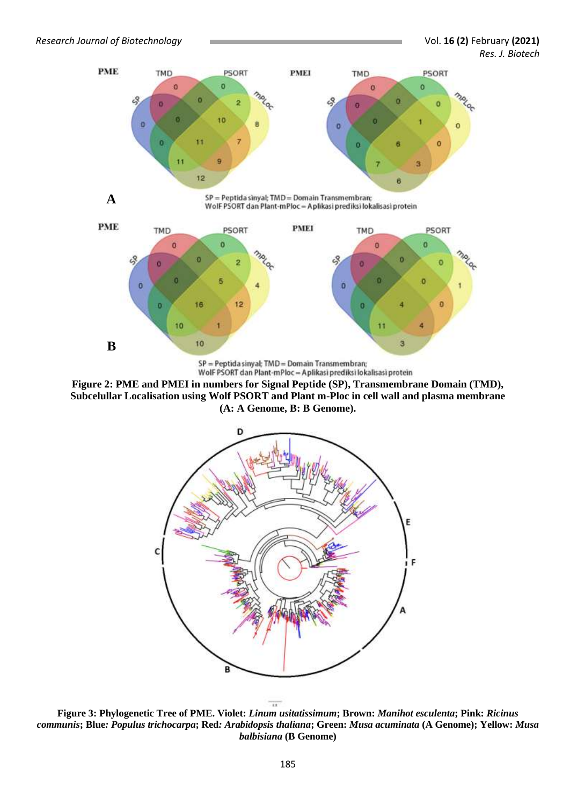

SP = Peptida sinyal; TMD = Domain Transmembran; Wolf PSORT dan Plant-mPloc = Aplikasi prediksi lokalisasi protein

**Figure 2: PME and PMEI in numbers for Signal Peptide (SP), Transmembrane Domain (TMD), Subcelullar Localisation using Wolf PSORT and Plant m-Ploc in cell wall and plasma membrane (A: A Genome, B: B Genome).**



 $\overline{14}$ **Figure 3: Phylogenetic Tree of PME. Violet:** *Linum usitatissimum***; Brown:** *Manihot esculenta***; Pink:** *Ricinus communis***; Blue***: Populus trichocarpa***; Red***: Arabidopsis thaliana***; Green:** *Musa acuminata* **(A Genome); Yellow:** *Musa balbisiana* **(B Genome)**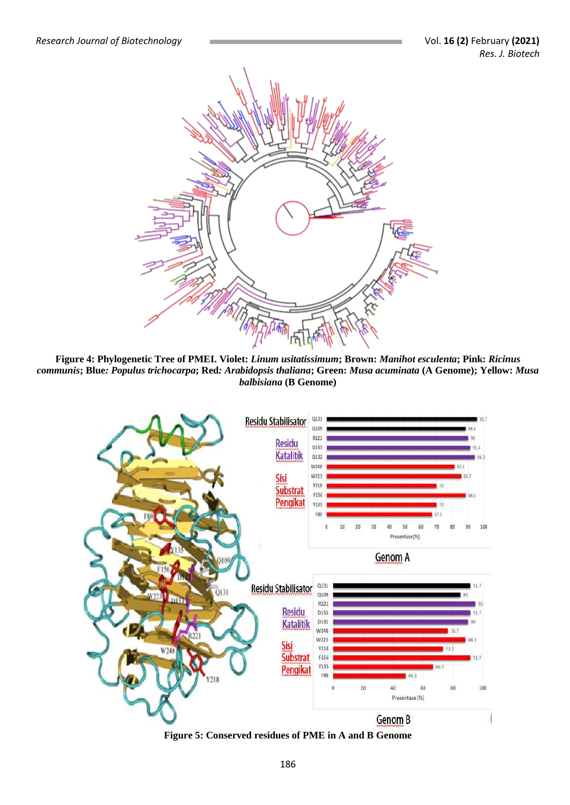

**Figure 4: Phylogenetic Tree of PMEI. Violet:** *Linum usitatissimum***; Brown:** *Manihot esculenta***; Pink:** *Ricinus communis***; Blue***: Populus trichocarpa***; Red***: Arabidopsis thaliana***; Green:** *Musa acuminata* **(A Genome); Yellow:** *Musa balbisiana* **(B Genome)**



**Figure 5: Conserved residues of PME in A and B Genome**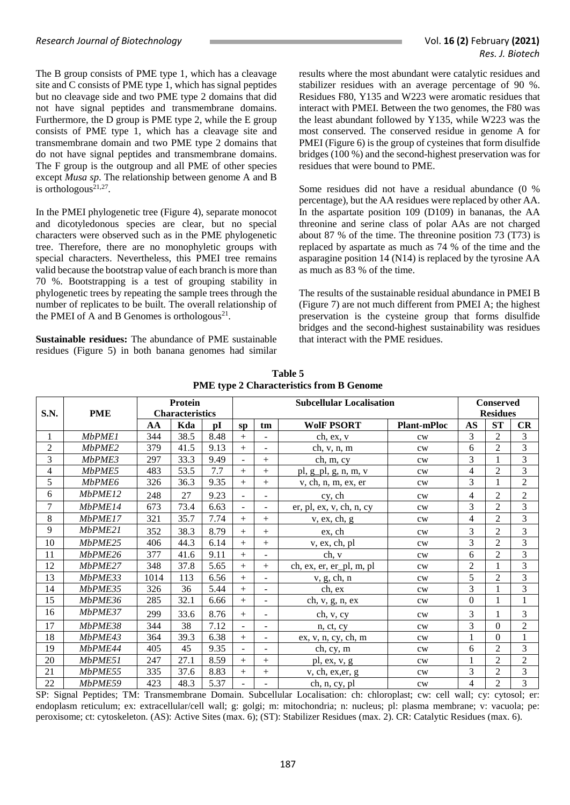The B group consists of PME type 1, which has a cleavage site and C consists of PME type 1, which has signal peptides but no cleavage side and two PME type 2 domains that did not have signal peptides and transmembrane domains. Furthermore, the D group is PME type 2, while the E group consists of PME type 1, which has a cleavage site and transmembrane domain and two PME type 2 domains that do not have signal peptides and transmembrane domains. The F group is the outgroup and all PME of other species except *Musa sp*. The relationship between genome A and B is orthologous $21,27$ .

In the PMEI phylogenetic tree (Figure 4), separate monocot and dicotyledonous species are clear, but no special characters were observed such as in the PME phylogenetic tree. Therefore, there are no monophyletic groups with special characters. Nevertheless, this PMEI tree remains valid because the bootstrap value of each branch is more than 70 %. Bootstrapping is a test of grouping stability in phylogenetic trees by repeating the sample trees through the number of replicates to be built. The overall relationship of the PMEI of A and B Genomes is orthologous<sup>21</sup>.

**Sustainable residues:** The abundance of PME sustainable residues (Figure 5) in both banana genomes had similar results where the most abundant were catalytic residues and stabilizer residues with an average percentage of 90 %. Residues F80, Y135 and W223 were aromatic residues that interact with PMEI. Between the two genomes, the F80 was the least abundant followed by Y135, while W223 was the most conserved. The conserved residue in genome A for PMEI (Figure 6) is the group of cysteines that form disulfide bridges (100 %) and the second-highest preservation was for residues that were bound to PME.

Some residues did not have a residual abundance (0 % percentage), but the AA residues were replaced by other AA. In the aspartate position 109 (D109) in bananas, the AA threonine and serine class of polar AAs are not charged about 87 % of the time. The threonine position 73 (T73) is replaced by aspartate as much as 74 % of the time and the asparagine position 14 (N14) is replaced by the tyrosine AA as much as 83 % of the time.

The results of the sustainable residual abundance in PMEI B (Figure 7) are not much different from PMEI A; the highest preservation is the cysteine group that forms disulfide bridges and the second-highest sustainability was residues that interact with the PME residues.

| S.N.           | <b>PME</b>     |      | Protein<br><b>Characteristics</b> |      |                                   |                | <b>Conserved</b><br><b>Residues</b> |                    |                |                  |                |
|----------------|----------------|------|-----------------------------------|------|-----------------------------------|----------------|-------------------------------------|--------------------|----------------|------------------|----------------|
|                |                | AA   | Kda                               | pI   | SD                                | tm             | <b>WolF PSORT</b>                   | <b>Plant-mPloc</b> | <b>AS</b>      | <b>ST</b>        | CR             |
| 1              | <i>MbPME1</i>  | 344  | 38.5                              | 8.48 | $^{+}$                            | $\blacksquare$ | ch, ex, v                           | cw                 | 3              | $\overline{2}$   | 3              |
| $\overline{2}$ | MbPME2         | 379  | 41.5                              | 9.13 | $+$                               | $\mathbf{r}$   | ch, v, n, m                         | cw                 | 6              | $\overline{2}$   | 3              |
| 3              | MbPME3         | 297  | 33.3                              | 9.49 |                                   | $^{+}$         | ch, m, cy                           | cw                 | 3              | $\mathbf{1}$     | $\overline{3}$ |
| $\overline{4}$ | MbPME5         | 483  | 53.5                              | 7.7  | $+$                               | $+$            | pl, g_pl, g, n, m, v                | cw                 | $\overline{4}$ | $\overline{2}$   | 3              |
| 5              | MbPME6         | 326  | 36.3                              | 9.35 | $^{+}$                            | $+$            | v, ch, n, m, ex, er                 | cw                 | 3              | $\mathbf{1}$     | $\overline{2}$ |
| 6              | MbPME12        | 248  | 27                                | 9.23 |                                   | $\overline{a}$ | cy, ch                              | cw                 | $\overline{4}$ | $\overline{c}$   | $\overline{c}$ |
| 7              | MbPME14        | 673  | 73.4                              | 6.63 | $\mathbf{r}$                      | $\mathbf{r}$   | er, pl, ex, v, ch, n, cy            | cw                 | 3              | $\overline{2}$   | 3              |
| 8              | MbPME17        | 321  | 35.7                              | 7.74 | $+$                               | $+$            | v, ex, ch, g                        | cw                 | 4              | $\overline{2}$   | 3              |
| 9              | MbPME21        | 352  | 38.3                              | 8.79 | $^{+}$                            | $^{+}$         | ex, ch                              | cw                 | 3              | $\overline{2}$   | $\overline{3}$ |
| 10             | MbPME25        | 406  | 44.3                              | 6.14 | $^{+}$                            | $^{+}$         | v, ex, ch, pl                       | cw                 | 3              | $\overline{2}$   | $\overline{3}$ |
| 11             | MbPME26        | 377  | 41.6                              | 9.11 | $+$                               | $\blacksquare$ | ch, v                               | cw                 | 6              | $\overline{2}$   | $\overline{3}$ |
| 12             | MbPME27        | 348  | 37.8                              | 5.65 | $+$                               | $^{+}$         | ch, ex, er, er_pl, m, pl            | cw                 | $\overline{2}$ | 1                | 3              |
| 13             | MbPME33        | 1014 | 113                               | 6.56 | $+$                               | $\blacksquare$ | v, g, ch, n                         | cw                 | 5              | $\overline{2}$   | 3              |
| 14             | MbPME35        | 326  | 36                                | 5.44 | $^{+}$                            | $\blacksquare$ | ch, ex                              | cw                 | 3              | 1                | $\overline{3}$ |
| 15             | MbPME36        | 285  | 32.1                              | 6.66 | $+$                               | $\blacksquare$ | ch, v, g, n, ex                     | cw                 | $\mathbf{0}$   | 1                | $\mathbf{1}$   |
| 16             | MbPME37        | 299  | 33.6                              | 8.76 | $+$                               | $\overline{a}$ | ch, v, cy                           | cw                 | 3              | 1                | $\mathfrak{Z}$ |
| 17             | MbPME38        | 344  | 38                                | 7.12 | $\sim$                            | $\mathbf{r}$   | n, ct, cy                           | cw                 | 3              | $\overline{0}$   | $\overline{c}$ |
| 18             | MbPME43        | 364  | 39.3                              | 6.38 | $+$                               | $\blacksquare$ | ex, v, n, cy, ch, m                 | cw                 |                | $\boldsymbol{0}$ | $\mathbf 1$    |
| 19             | <i>MbPME44</i> | 405  | 45                                | 9.35 | $\overline{\phantom{0}}$          | $\blacksquare$ | ch, cy, m                           | cw                 | 6              | $\overline{2}$   | $\overline{3}$ |
| 20             | MbPME51        | 247  | 27.1                              | 8.59 | $^{+}$                            | $+$            | pl, ex, v, g                        | cw                 | $\mathbf{1}$   | $\overline{2}$   | $\overline{2}$ |
| 21             | MbPME55        | 335  | 37.6                              | 8.83 | $+$<br>$^{+}$<br>v, ch, ex, er, g |                | cw                                  | 3                  | $\overline{2}$ | 3                |                |
| 22             | MbPME59        | 423  | 48.3                              | 5.37 |                                   |                | ch, n, cy, pl                       | cw                 | $\overline{4}$ | $\overline{2}$   | 3              |

**Table 5 PME type 2 Characteristics from B Genome**

SP: Signal Peptides; TM: Transmembrane Domain. Subcellular Localisation: ch: chloroplast; cw: cell wall; cy: cytosol; er: endoplasm reticulum; ex: extracellular/cell wall; g: golgi; m: mitochondria; n: nucleus; pl: plasma membrane; v: vacuola; pe: peroxisome; ct: cytoskeleton. (AS): Active Sites (max. 6); (ST): Stabilizer Residues (max. 2). CR: Catalytic Residues (max. 6).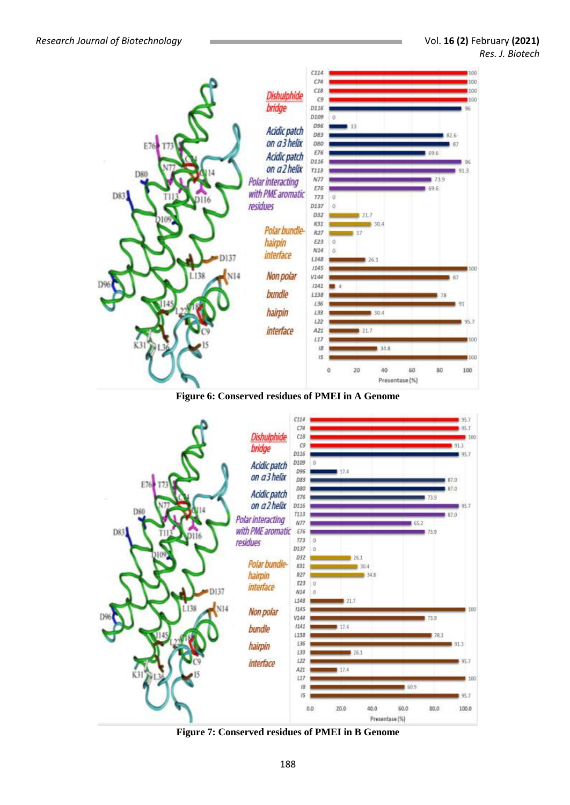





**Figure 7: Conserved residues of PMEI in B Genome**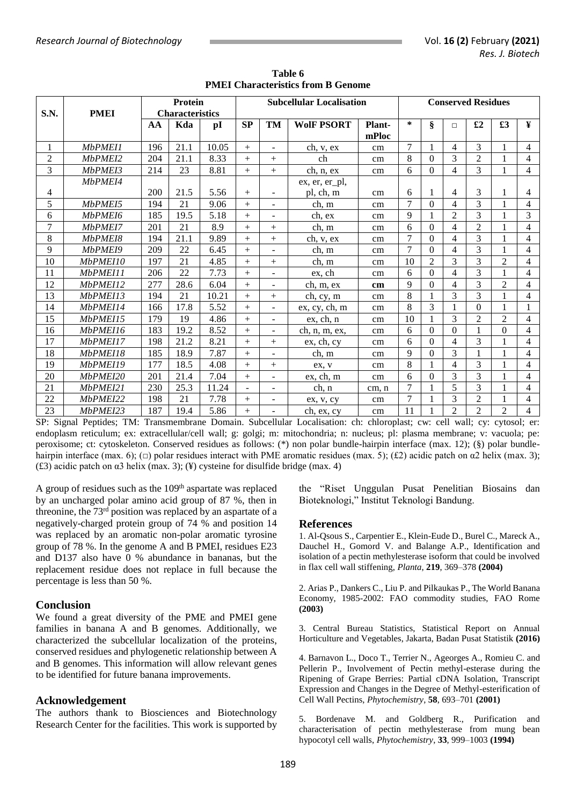| S.N.           | Protein<br><b>PMEI</b><br><b>Characteristics</b> |     |      |       |        |                          | <b>Subcellular Localisation</b> | <b>Conserved Residues</b> |                |                |                |                |                |                |
|----------------|--------------------------------------------------|-----|------|-------|--------|--------------------------|---------------------------------|---------------------------|----------------|----------------|----------------|----------------|----------------|----------------|
|                |                                                  | AA  | Kda  | pI    | SP     | TM                       | <b>WolF PSORT</b>               | Plant-<br>mPloc           |                | $\S$           | $\Box$         | £2             | £3             | ¥              |
| 1              | <b>MbPMEI1</b>                                   | 196 | 21.1 | 10.05 | $+$    | ÷.                       | ch, v, ex                       | cm                        | $\tau$         | 1              | $\overline{4}$ | $\mathcal{F}$  | 1              | $\overline{4}$ |
| $\overline{c}$ | MbPMEI2                                          | 204 | 21.1 | 8.33  | $+$    | $+$                      | ch                              | cm                        | 8              | $\Omega$       | 3              | $\overline{2}$ |                | $\overline{4}$ |
| $\overline{3}$ | MbPMEI3                                          | 214 | 23   | 8.81  | $+$    | $+$                      | ch, n, ex                       | cm                        | 6              | $\mathbf{0}$   | $\overline{4}$ | 3              |                | $\overline{4}$ |
|                | MbPMEI4                                          |     |      |       |        |                          | ex, er, er_pl,                  |                           |                |                |                |                |                |                |
| 4              |                                                  | 200 | 21.5 | 5.56  | $+$    |                          | pl, ch, m                       | cm                        | 6              |                | $\overline{4}$ | 3              |                | 4              |
| 5              | MbPMEI5                                          | 194 | 21   | 9.06  | $+$    | $\overline{a}$           | ch, m                           | cm                        | $\overline{7}$ | $\Omega$       | 4              | 3              | 1              | $\overline{4}$ |
| 6              | MbPMEI6                                          | 185 | 19.5 | 5.18  | $+$    | $\blacksquare$           | ch, ex                          | cm                        | 9              |                | $\overline{2}$ | 3              |                | $\overline{3}$ |
| $\overline{7}$ | MbPMEI7                                          | 201 | 21   | 8.9   | $+$    | $^{+}$                   | ch, m                           | cm                        | 6              | $\Omega$       | $\overline{4}$ | $\overline{2}$ |                | 4              |
| 8              | MbPMEI8                                          | 194 | 21.1 | 9.89  | $+$    | $+$                      | ch, v, ex                       | cm                        | 7              | $\Omega$       | 4              | 3              |                | $\overline{4}$ |
| 9              | MbPMEI9                                          | 209 | 22   | 6.45  | $+$    | $\sim$                   | ch, m                           | cm                        | $\overline{7}$ | $\Omega$       | 4              | 3              |                | $\overline{4}$ |
| 10             | MbPMEI10                                         | 197 | 21   | 4.85  | $+$    | $+$                      | ch, m                           | cm                        | 10             | $\overline{2}$ | 3              | 3              | $\overline{2}$ | 4              |
| 11             | MbPMEI11                                         | 206 | 22   | 7.73  | $+$    |                          | ex, ch                          | cm                        | 6              | $\Omega$       | 4              | 3              | 1              | $\overline{4}$ |
| 12             | MbPMEI12                                         | 277 | 28.6 | 6.04  | $+$    | $\blacksquare$           | ch, m, ex                       | cm                        | 9              | $\Omega$       | 4              | 3              | $\mathfrak{D}$ | $\overline{4}$ |
| 13             | MbPMEI13                                         | 194 | 21   | 10.21 | $^{+}$ | $+$                      | ch, cy, m                       | cm                        | 8              |                | $\overline{3}$ | 3              |                | $\overline{4}$ |
| 14             | MbPMEI14                                         | 166 | 17.8 | 5.52  | $^{+}$ | $\overline{\phantom{a}}$ | ex, cy, ch, m                   | cm                        | 8              | 3              | $\mathbf{1}$   | $\Omega$       |                | 1              |
| 15             | MbPMEI15                                         | 179 | 19   | 4.86  | $+$    | $\overline{\phantom{a}}$ | ex, ch, n                       | cm                        | 10             |                | 3              | $\mathfrak{D}$ | $\mathfrak{D}$ | $\overline{4}$ |
| 16             | MbPME116                                         | 183 | 19.2 | 8.52  | $^{+}$ | $\overline{a}$           | ch, n, m, ex,                   | cm                        | 6              | $\Omega$       | $\mathbf{0}$   | $\mathbf{1}$   | $\Omega$       | 4              |
| 17             | MbPMEI17                                         | 198 | 21.2 | 8.21  | $^{+}$ | $+$                      | ex, ch, cy                      | cm                        | 6              | $\Omega$       | 4              | 3              |                | $\overline{4}$ |
| 18             | MbPMEI18                                         | 185 | 18.9 | 7.87  | $+$    |                          | ch, m                           | cm                        | 9              | $\Omega$       | 3              |                |                | $\overline{4}$ |
| 19             | MbPMEI19                                         | 177 | 18.5 | 4.08  | $+$    | $+$                      | ex. v                           | cm                        | 8              | $\mathbf{1}$   | 4              | 3              |                | $\overline{4}$ |
| 20             | MbPMEI20                                         | 201 | 21.4 | 7.04  | $^{+}$ | $\blacksquare$           | ex, ch, m                       | cm                        | 6              | $\Omega$       | 3              | 3              |                | $\overline{4}$ |
| 21             | MbPMEI21                                         | 230 | 25.3 | 11.24 |        | $\overline{a}$           | ch, n                           | cm, n                     | 7              |                | $\overline{5}$ | 3              |                | 4              |
| 22             | MbPMEI22                                         | 198 | 21   | 7.78  | $+$    | $\blacksquare$           | ex, v, cy                       | cm                        | $\overline{7}$ |                | 3              | $\overline{2}$ |                | $\overline{4}$ |
| 23             | MbPMEI23                                         | 187 | 19.4 | 5.86  | $^{+}$ | $\blacksquare$           | ch, ex, cy                      | cm                        | 11             |                | $\overline{2}$ | $\overline{2}$ | $\overline{2}$ | 4              |

**Table 6 PMEI Characteristics from B Genome**

SP: Signal Peptides; TM: Transmembrane Domain. Subcellular Localisation: ch: chloroplast; cw: cell wall; cy: cytosol; er: endoplasm reticulum; ex: extracellular/cell wall; g: golgi; m: mitochondria; n: nucleus; pl: plasma membrane; v: vacuola; pe: peroxisome; ct: cytoskeleton. Conserved residues as follows: (\*) non polar bundle-hairpin interface (max. 12); (§) polar bundlehairpin interface (max. 6); ( $\Box$ ) polar residues interact with PME aromatic residues (max. 5); (£2) acidic patch on  $\alpha$ 2 helix (max. 3); (£3) acidic patch on  $\alpha$ 3 helix (max. 3); (¥) cysteine for disulfide bridge (max. 4)

A group of residues such as the  $109<sup>th</sup>$  aspartate was replaced by an uncharged polar amino acid group of 87 %, then in threonine, the 73rd position was replaced by an aspartate of a negatively-charged protein group of 74 % and position 14 was replaced by an aromatic non-polar aromatic tyrosine group of 78 %. In the genome A and B PMEI, residues E23 and D137 also have 0 % abundance in bananas, but the replacement residue does not replace in full because the percentage is less than 50 %.

#### **Conclusion**

We found a great diversity of the PME and PMEI gene families in banana A and B genomes. Additionally, we characterized the subcellular localization of the proteins, conserved residues and phylogenetic relationship between A and B genomes. This information will allow relevant genes to be identified for future banana improvements.

#### **Acknowledgement**

The authors thank to Biosciences and Biotechnology Research Center for the facilities. This work is supported by

the "Riset Unggulan Pusat Penelitian Biosains dan Bioteknologi," Institut Teknologi Bandung.

#### **References**

1. Al-Qsous S., Carpentier E., Klein-Eude D., Burel C., Mareck A., Dauchel H., Gomord V. and Balange A.P., Identification and isolation of a pectin methylesterase isoform that could be involved in flax cell wall stiffening, *Planta*, **219**, 369–378 **(2004)**

2. Arias P., Dankers C., Liu P. and Pilkaukas P., The World Banana Economy, 1985-2002: FAO commodity studies, FAO Rome **(2003)**

3. Central Bureau Statistics, Statistical Report on Annual Horticulture and Vegetables, Jakarta, Badan Pusat Statistik **(2016)**

4. Barnavon L., Doco T., Terrier N., Ageorges A., Romieu C. and Pellerin P., Involvement of Pectin methyl-esterase during the Ripening of Grape Berries: Partial cDNA Isolation, Transcript Expression and Changes in the Degree of Methyl-esterification of Cell Wall Pectins, *Phytochemistry*, **58**, 693–701 **(2001)**

5. Bordenave M. and Goldberg R., Purification and characterisation of pectin methylesterase from mung bean hypocotyl cell walls, *Phytochemistry*, **33**, 999–1003 **(1994)**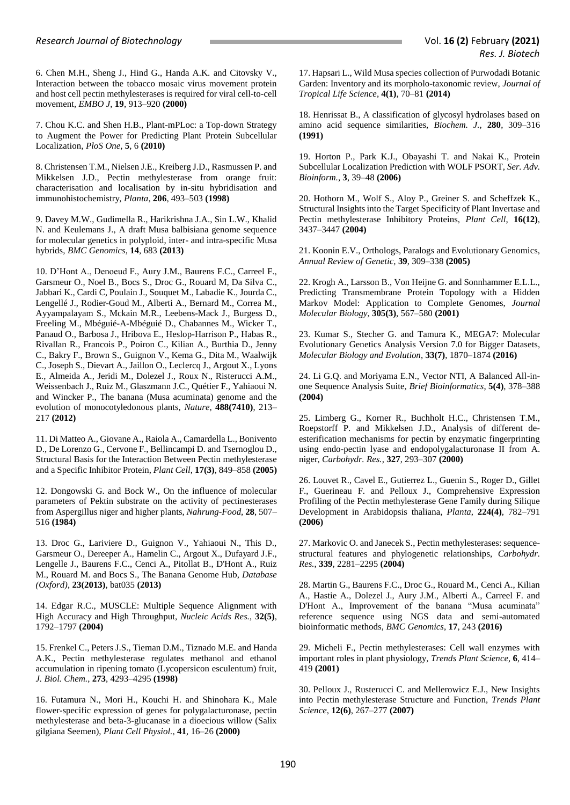6. Chen M.H., Sheng J., Hind G., Handa A.K. and Citovsky V., Interaction between the tobacco mosaic virus movement protein and host cell pectin methylesterases is required for viral cell-to-cell movement, *EMBO J*, **19**, 913–920 **(2000)**

7. Chou K.C. and Shen H.B., Plant-mPLoc: a Top-down Strategy to Augment the Power for Predicting Plant Protein Subcellular Localization, *PloS One*, **5**, 6 **(2010)**

8. Christensen T.M., Nielsen J.E., Kreiberg J.D., Rasmussen P. and Mikkelsen J.D., Pectin methylesterase from orange fruit: characterisation and localisation by in-situ hybridisation and immunohistochemistry, *Planta*, **206**, 493–503 **(1998)**

9. Davey M.W., Gudimella R., Harikrishna J.A., Sin L.W., Khalid N. and Keulemans J., A draft Musa balbisiana genome sequence for molecular genetics in polyploid, inter- and intra-specific Musa hybrids, *BMC Genomics*, **14**, 683 **(2013)**

10. D'Hont A., Denoeud F., Aury J.M., Baurens F.C., Carreel F., Garsmeur O., Noel B., Bocs S., Droc G., Rouard M, Da Silva C., Jabbari K., Cardi C, Poulain J., Souquet M., Labadie K., Jourda C., Lengellé J., Rodier-Goud M., Alberti A., Bernard M., Correa M., Ayyampalayam S., Mckain M.R., Leebens-Mack J., Burgess D., Freeling M., Mbéguié-A-Mbéguié D., Chabannes M., Wicker T., Panaud O., Barbosa J., Hribova E., Heslop-Harrison P., Habas R., Rivallan R., Francois P., Poiron C., Kilian A., Burthia D., Jenny C., Bakry F., Brown S., Guignon V., Kema G., Dita M., Waalwijk C., Joseph S., Dievart A., Jaillon O., Leclercq J., Argout X., Lyons E., Almeida A., Jeridi M., Dolezel J., Roux N., Risterucci A.M., Weissenbach J., Ruiz M., Glaszmann J.C., Quétier F., Yahiaoui N. and Wincker P., The banana (Musa acuminata) genome and the evolution of monocotyledonous plants, *Nature*, **488(7410)**, 213– 217 **(2012)**

11. Di Matteo A., Giovane A., Raiola A., Camardella L., Bonivento D., De Lorenzo G., Cervone F., Bellincampi D. and Tsernoglou D., Structural Basis for the Interaction Between Pectin methylesterase and a Specific Inhibitor Protein, *Plant Cell*, **17(3)**, 849–858 **(2005)**

12. Dongowski G. and Bock W., On the influence of molecular parameters of Pektin substrate on the activity of pectinesterases from Aspergillus niger and higher plants, *Nahrung-Food*, **28**, 507– 516 **(1984)**

13. Droc G., Lariviere D., Guignon V., Yahiaoui N., This D., Garsmeur O., Dereeper A., Hamelin C., Argout X., Dufayard J.F., Lengelle J., Baurens F.C., Cenci A., Pitollat B., D'Hont A., Ruiz M., Rouard M. and Bocs S., The Banana Genome Hub, *Database (Oxford)*, **23(2013)**, bat035 **(2013)**

14. Edgar R.C., MUSCLE: Multiple Sequence Alignment with High Accuracy and High Throughput, *Nucleic Acids Res.*, **32(5)**, 1792–1797 **(2004)**

15. Frenkel C., Peters J.S., Tieman D.M., Tiznado M.E. and Handa A.K., Pectin methylesterase regulates methanol and ethanol accumulation in ripening tomato (Lycopersicon esculentum) fruit, *J. Biol. Chem.*, **273**, 4293–4295 **(1998)**

16. Futamura N., Mori H., Kouchi H. and Shinohara K., Male flower-specific expression of genes for polygalacturonase, pectin methylesterase and beta-3-glucanase in a dioecious willow (Salix gilgiana Seemen), *Plant Cell Physiol.*, **41**, 16–26 **(2000)**

17. Hapsari L., Wild Musa species collection of Purwodadi Botanic Garden: Inventory and its morpholo-taxonomic review, *Journal of Tropical Life Science*, **4(1)**, 70–81 **(2014)**

18. Henrissat B., A classification of glycosyl hydrolases based on amino acid sequence similarities, *Biochem. J.*, **280**, 309–316 **(1991)**

19. Horton P., Park K.J., Obayashi T. and Nakai K., Protein Subcellular Localization Prediction with WOLF PSORT, *Ser. Adv. Bioinform.*, **3**, 39–48 **(2006)**

20. Hothorn M., Wolf S., Aloy P., Greiner S. and Scheffzek K., Structural Insights into the Target Specificity of Plant Invertase and Pectin methylesterase Inhibitory Proteins, *Plant Cell*, **16(12)**, 3437–3447 **(2004)**

21. Koonin E.V., Orthologs, Paralogs and Evolutionary Genomics, *Annual Review of Genetic*, **39**, 309–338 **(2005)**

22. Krogh A., Larsson B., Von Heijne G. and Sonnhammer E.L.L., Predicting Transmembrane Protein Topology with a Hidden Markov Model: Application to Complete Genomes, *Journal Molecular Biology*, **305(3)**, 567–580 **(2001)**

23. Kumar S., Stecher G. and Tamura K., MEGA7: Molecular Evolutionary Genetics Analysis Version 7.0 for Bigger Datasets, *Molecular Biology and Evolution*, **33(7)**, 1870–1874 **(2016)**

24. Li G.Q. and Moriyama E.N., Vector NTI, A Balanced All-inone Sequence Analysis Suite, *Brief Bioinformatics*, **5(4)**, 378–388 **(2004)**

25. Limberg G., Korner R., Buchholt H.C., Christensen T.M., Roepstorff P. and Mikkelsen J.D., Analysis of different deesterification mechanisms for pectin by enzymatic fingerprinting using endo-pectin lyase and endopolygalacturonase II from A. niger, *Carbohydr. Res.*, **327**, 293–307 **(2000)**

26. Louvet R., Cavel E., Gutierrez L., Guenin S., Roger D., Gillet F., Guerineau F. and Pelloux J., Comprehensive Expression Profiling of the Pectin methylesterase Gene Family during Silique Development in Arabidopsis thaliana, *Planta*, **224(4)**, 782–791 **(2006)**

27. Markovic O. and Janecek S., Pectin methylesterases: sequencestructural features and phylogenetic relationships, *Carbohydr. Res.*, **339**, 2281–2295 **(2004)**

28. Martin G., Baurens F.C., Droc G., Rouard M., Cenci A., Kilian A., Hastie A., Dolezel J., Aury J.M., Alberti A., Carreel F. and D'Hont A., Improvement of the banana "Musa acuminata" reference sequence using NGS data and semi-automated bioinformatic methods, *BMC Genomics*, **17**, 243 **(2016)**

29. Micheli F., Pectin methylesterases: Cell wall enzymes with important roles in plant physiology, *Trends Plant Science*, **6**, 414– 419 **(2001)**

30. Pelloux J., Rusterucci C. and Mellerowicz E.J., New Insights into Pectin methylesterase Structure and Function, *Trends Plant Science*, **12(6)**, 267–277 **(2007)**